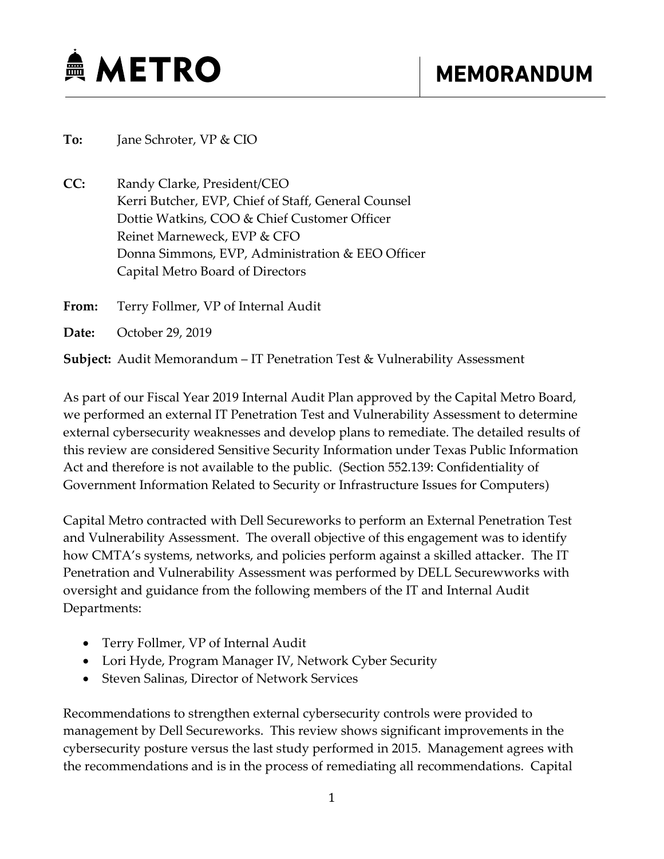

**To:** Jane Schroter, VP & CIO

**CC:** Randy Clarke, President/CEO Kerri Butcher, EVP, Chief of Staff, General Counsel Dottie Watkins, COO & Chief Customer Officer Reinet Marneweck, EVP & CFO Donna Simmons, EVP, Administration & EEO Officer Capital Metro Board of Directors

**From:** Terry Follmer, VP of Internal Audit

**Date:** October 29, 2019

**Subject:** Audit Memorandum – IT Penetration Test & Vulnerability Assessment

As part of our Fiscal Year 2019 Internal Audit Plan approved by the Capital Metro Board, we performed an external IT Penetration Test and Vulnerability Assessment to determine external cybersecurity weaknesses and develop plans to remediate. The detailed results of this review are considered Sensitive Security Information under Texas Public Information Act and therefore is not available to the public. (Section 552.139: Confidentiality of Government Information Related to Security or Infrastructure Issues for Computers)

Capital Metro contracted with Dell Secureworks to perform an External Penetration Test and Vulnerability Assessment. The overall objective of this engagement was to identify how CMTA's systems, networks, and policies perform against a skilled attacker. The IT Penetration and Vulnerability Assessment was performed by DELL Securewworks with oversight and guidance from the following members of the IT and Internal Audit Departments:

- Terry Follmer, VP of Internal Audit
- Lori Hyde, Program Manager IV, Network Cyber Security
- Steven Salinas, Director of Network Services

Recommendations to strengthen external cybersecurity controls were provided to management by Dell Secureworks. This review shows significant improvements in the cybersecurity posture versus the last study performed in 2015. Management agrees with the recommendations and is in the process of remediating all recommendations. Capital